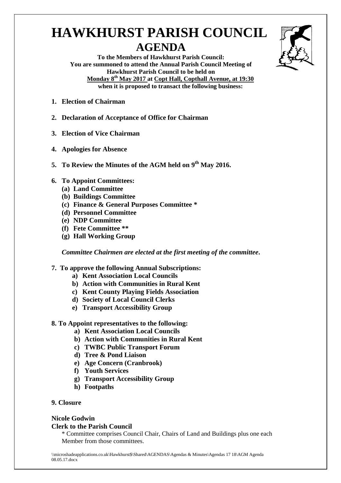# **HAWKHURST PARISH COUNCIL AGENDA**



**To the Members of Hawkhurst Parish Council: You are summoned to attend the Annual Parish Council Meeting of Hawkhurst Parish Council to be held on Monday 8 th May 2017 at Copt Hall, Copthall Avenue, at 19:30 when it is proposed to transact the following business:**

- **1. Election of Chairman**
- **2. Declaration of Acceptance of Office for Chairman**
- **3. Election of Vice Chairman**
- **4. Apologies for Absence**
- **5. To Review the Minutes of the AGM held on 9 th May 2016.**
- **6. To Appoint Committees:**
	- **(a) Land Committee**
	- **(b) Buildings Committee**
	- **(c) Finance & General Purposes Committee \***
	- **(d) Personnel Committee**
	- **(e) NDP Committee**
	- **(f) Fete Committee \*\***
	- **(g) Hall Working Group**

*Committee Chairmen are elected at the first meeting of the committee***.**

### **7. To approve the following Annual Subscriptions:**

- **a) Kent Association Local Councils**
- **b) Action with Communities in Rural Kent**
- **c) Kent County Playing Fields Association**
- **d) Society of Local Council Clerks**
- **e) Transport Accessibility Group**

### **8. To Appoint representatives to the following:**

- **a) Kent Association Local Councils**
- **b) Action with Communities in Rural Kent**
- **c) TWBC Public Transport Forum**
- **d) Tree & Pond Liaison**
- **e) Age Concern (Cranbrook)**
- **f) Youth Services**
- **g) Transport Accessibility Group**
- **h) Footpaths**

### **9. Closure**

## **Nicole Godwin**

## **Clerk to the Parish Council**

\* Committee comprises Council Chair, Chairs of Land and Buildings plus one each Member from those committees.